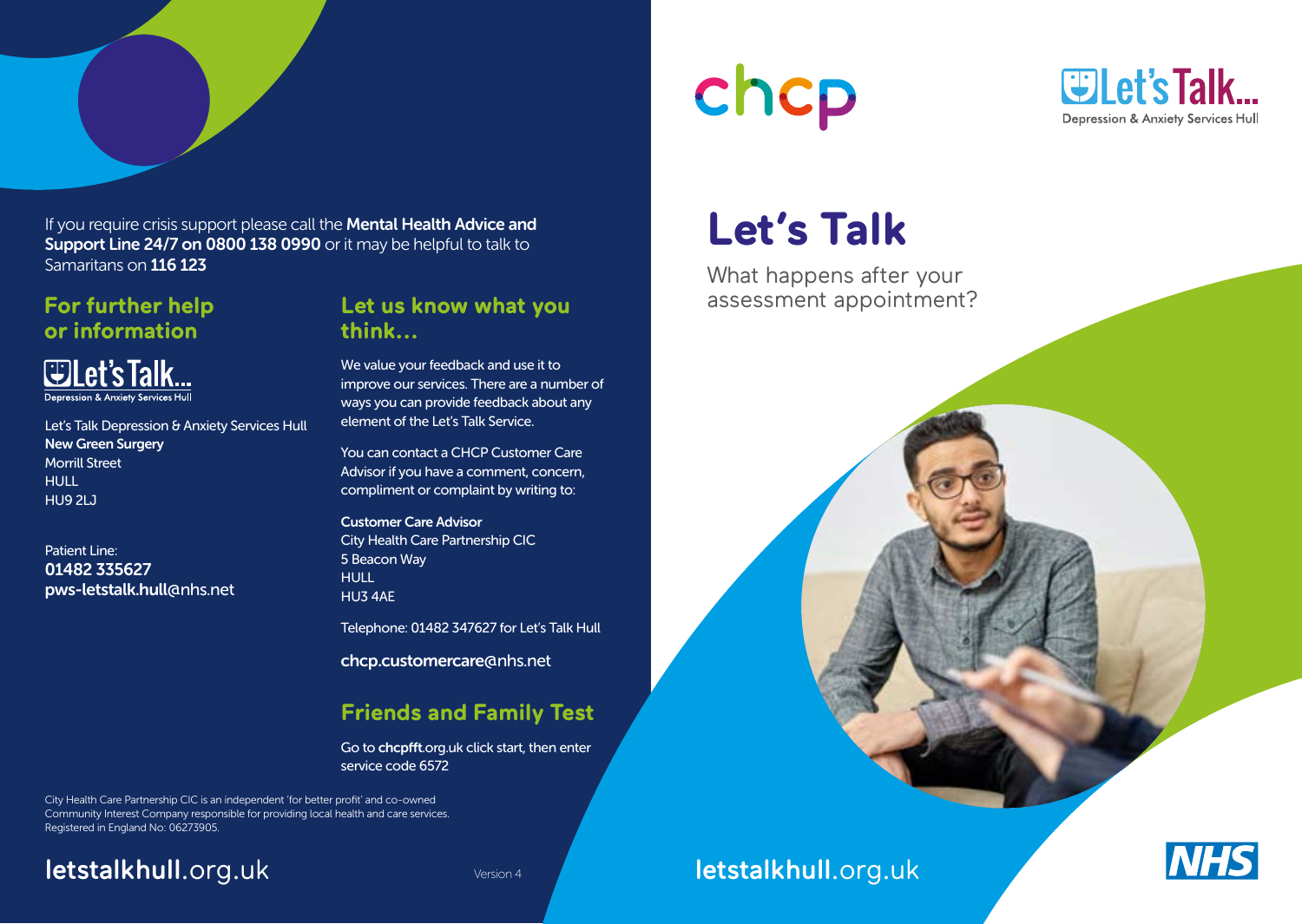



If you require crisis support please call the **Mental Health Advice and** Support Line 24/7 on 0800 138 0990 or it may be helpful to talk to Samaritans on 116 123

## **For further help or information**



Let's Talk Depression & Anxiety Services Hull **New Green Surgery** Morrill Street HULL. HU9 2LJ

Patient Line: 01482 335627 pws-letstalk.hull@nhs.net

### **Let us know what you think...**

We value your feedback and use it to improve our services. There are a number of ways you can provide feedback about any element of the Let's Talk Service.

You can contact a CHCP Customer Care Advisor if you have a comment, concern, compliment or complaint by writing to:

Customer Care Advisor City Health Care Partnership CIC 5 Beacon Way **HULL** HU3 4AE

Telephone: 01482 347627 for Let's Talk Hull

chcp.customercare@nhs.net

## **Friends and Family Test**

Go to chcpfft.org.uk click start, then enter service code 6572

City Health Care Partnership CIC is an independent 'for better profit' and co-owned Community Interest Company responsible for providing local health and care services. Registered in England No: 06273905.

## letstalkhull.org.uk version 4 letstalkhull.org.uk

## **Let's Talk**

What happens after your assessment appointment?